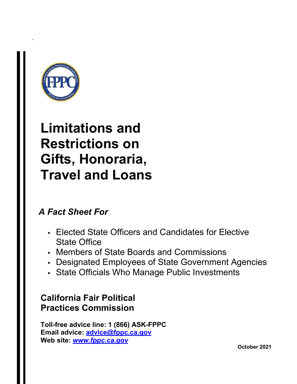

-

# **Limitations and Restrictions on Gifts, Honoraria, Travel and Loans**

# *A Fact Sheet For*

- Elected State Officers and Candidates for Elective State Office
- Members of State Boards and Commissions
- Designated Employees of State Government Agencies
- State Officials Who Manage Public Investments

# **California Fair Political Practices Commission**

**Toll-free advice line: 1 (866) ASK-FPPC Email advice: [advice@fppc.ca.gov](mailto:advice@fppc.ca.gov) Web site:** *[www.fppc.ca.gov](http://www.fppc.ca.gov/)*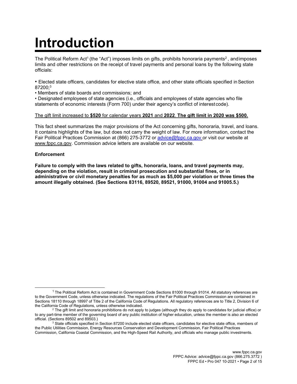# **Introduction**

The Political Reform Act<sup>1</sup> (the "Act") imposes limits on gifts, prohibits honoraria payments<sup>2</sup>, andimposes limits and other restrictions on the receipt of travel payments and personal loans by the following state officials:

• Elected state officers, candidates for elective state office, and other state officials specified inSection 87200;3

• Members of state boards and commissions; and

• Designated employees of state agencies (i.e., officials and employees of state agencies who file statements of economic interests (Form 700) under their agency's conflict of interest code).

#### The gift limit increased to **\$520** for calendar years **2021** and **2022**. **The gift limit in 2020 was \$500.**

This fact sheet summarizes the major provisions of the Act concerning gifts, honoraria, travel, and loans. It contains highlights of the law, but does not carry the weight of law. For more information, contact the Fair Political Practices Commission at (866) 275-3772 or [advice@fppc.ca.gov](mailto:advice@fppc.ca.gov) or visit our website at [www.fppc.ca.gov.](http://www.fppc.ca.gov/) Commission advice letters are available on our website.

#### **Enforcement**

**Failure to comply with the laws related to gifts, honoraria, loans, and travel payments may, depending on the violation, result in criminal prosecution and substantial fines, or in administrative or civil monetary penalties for as much as \$5,000 per violation or three times the amount illegally obtained. (See Sections 83116, 89520, 89521, 91000, 91004 and 91005.5.)**

<sup>1</sup> The Political Reform Act is contained in Government Code Sections 81000 through 91014. All statutory references are to the Government Code, unless otherwise indicated. The regulations of the Fair Political Practices Commission are contained in Sections 18110 through 18997 of Title 2 of the California Code of Regulations. All regulatory references are to Title 2, Division 6 of the California Code of Regulations, unless otherwise indicated.

<sup>2</sup> The gift limit and honoraria prohibitions do not apply to judges (although they do apply to candidates for judicial office) or to any part-time member of the governing board of any public institution of higher education, unless the member is also an elected official. (Sections 89502 and 89503.)

 $3$  State officials specified in Section 87200 include elected state officers, candidates for elective state office, members of the Public Utilities Commission, Energy Resources Conservation and Development Commission, Fair Political Practices Commission, California Coastal Commission, and the High-Speed Rail Authority, and officials who manage public investments.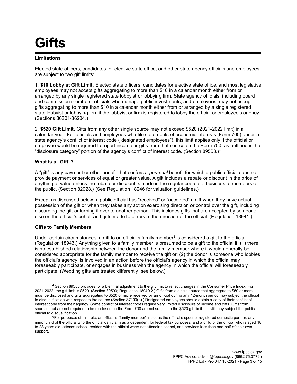# **Gifts**

#### **Limitations**

Elected state officers, candidates for elective state office, and other state agency officials and employees are subject to two gift limits:

1. **\$10 Lobbyist Gift Limit.** Elected state officers, candidates for elective state office, and most legislative employees may not accept gifts aggregating to more than \$10 in a calendar month either from or arranged by any single registered state lobbyist or lobbying firm. State agency officials, including board and commission members, officials who manage public investments, and employees, may not accept gifts aggregating to more than \$10 in a calendar month either from or arranged by a single registered state lobbyist or lobbying firm if the lobbyist or firm is registered to lobby the official or employee's agency. (Sections 86201-86204.)

2. **\$520 Gift Limit.** Gifts from any other single source may not exceed \$520 (2021-2022 limit) in a calendar year. For officials and employees who file statements of economic interests (Form 700) under a state agency's conflict of interest code ("designated employees"), this limit applies only if the official or employee would be required to report income or gifts from that source on the Form 700, as outlined in the "disclosure category" portion of the agency's conflict of interest code. (Section 89503.)<sup>4</sup>

#### **What is a "Gift"?**

A "gift" is any payment or other benefit that confers a *personal* benefit for which a public official does not provide payment or services of equal or greater value. A gift includes a rebate or discount in the price of anything of value unless the rebate or discount is made in the regular course of business to members of the public. (Section 82028.) (See Regulation 18946 for valuation guidelines.)

Except as discussed below, a public official has "received" or "accepted" a gift when they have actual possession of the gift or when they takes any action exercising direction or control over the gift, including discarding the gift or turning it over to another person. This includes gifts that are accepted by someone else on the official's behalf and gifts made to others at the direction of the official. (Regulation 18941.)

## **Gifts to Family Members**

Under certain circumstances, a gift to an official's family member**<sup>5</sup>** is considered a gift to the official. (Regulation 18943.) Anything given to a family member is presumed to be a gift to the official if: (1) there is no established relationship between the donor and the family member where it would generally be considered appropriate for the family member to receive the gift or; (2) the donor is someone who lobbies the official's agency, is involved in an action before the official's agency in which the official may foreseeably participate, or engages in business with the agency in which the official will foreseeably participate. (Wedding gifts are treated differently, see below.)

<sup>4</sup> Section 89503 provides for a biennial adjustment to the gift limit to reflect changes in the Consumer Price Index. For 2021-2022, the gift limit is \$520. (Section 89503; Regulation 18940.2.) Gifts from a single source that aggregate to \$50 or more must be disclosed and gifts aggregating to \$520 or more received by an official during any 12-month period may subject the official to disqualification with respect to the source (Section 87103(e).) Designated employees should obtain a copy of their conflict of interest code from their agency. Some conflict of interest codes require very limited disclosure of income and gifts. Gifts from sources that are not required to be disclosed on the Form 700 are not subject to the \$520 gift limit but still may subject the public official to disqualification.

<sup>5</sup>For purposes of this rule, an official's "family member" includes the official's spouse; registered domestic partner; any minor child of the official who the official can claim as a dependent for federal tax purposes; and a child of the official who is aged 18 to 23 years old, attends school, resides with the official when not attending school, and provides less than one-half of their own support.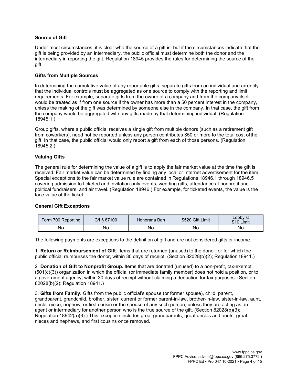### **Source of Gift**

Under most circumstances, it is clear who the source of a gift is, but if the circumstances indicate that the gift is being provided by an intermediary, the public official must determine both the donor and the intermediary in reporting the gift. Regulation 18945 provides the rules for determining the source of the gift.

#### **Gifts from Multiple Sources**

In determining the cumulative value of any reportable gifts, separate gifts from an individual and anentity that the individual controls must be aggregated as one source to comply with the reporting and limit requirements. For example, separate gifts from the owner of a company and from the company itself would be treated as if from one source if the owner has more than a 50 percent interest in the company, unless the making of the gift was determined by someone else in the company. In that case, the gift from the company would be aggregated with any gifts made by that determining individual. (Regulation 18945.1.)

Group gifts, where a public official receives a single gift from multiple donors (such as a retirement gift from coworkers), need not be reported unless any person contributes \$50 or more to the total cost ofthe gift. In that case, the public official would only report a gift from each of those persons. (Regulation 18945.2.)

#### **Valuing Gifts**

The general rule for determining the value of a gift is to apply the fair market value at the time the gift is received. Fair market value can be determined by finding any local or Internet advertisement for the item. Special exceptions to the fair market value rule are contained in Regulations 18946.1 through 18946.5 covering admission to ticketed and invitation-only events, wedding gifts, attendance at nonprofit and political fundraisers, and air travel. (Regulation 18946.) For example, for ticketed events, the value is the face value of the ticket.

#### **General Gift Exceptions**

| Form 700 Reporting | C/I § 87100 | Honoraria Ban | \$520 Gift Limit | Lobbvist<br>\$10 Limit |
|--------------------|-------------|---------------|------------------|------------------------|
| No                 | Νo          | Nο            | No               | No                     |

The following payments are exceptions to the definition of gift and are not considered gifts or income.

1. **Return or Reimbursement of Gift.** Items that are returned (unused) to the donor, or for which the public official reimburses the donor, within 30 days of receipt. (Section 82028(b)(2); Regulation 18941.)

2. **Donation of Gift to Nonprofit Group.** Items that are donated (unused) to a non-profit, tax-exempt (501(c)(3)) organization in which the official (or immediate family member) does not hold a position, or to a government agency, within 30 days of receipt without claiming a deduction for tax purposes. (Section 82028(b)(2); Regulation 18941.)

3. **Gifts from Family.** Gifts from the public official's spouse (or former spouse), child, parent, grandparent, grandchild, brother, sister, current or former parent-in-law, brother-in-law, sister-in-law, aunt, uncle, niece, nephew, or first cousin or the spouse of any such person, unless they are acting as an agent or intermediary for another person who is the true source of the gift. (Section 82028(b)(3); Regulation 18942(a)(3).) This exception includes great grandparents, great uncles and aunts, great nieces and nephews, and first cousins once removed.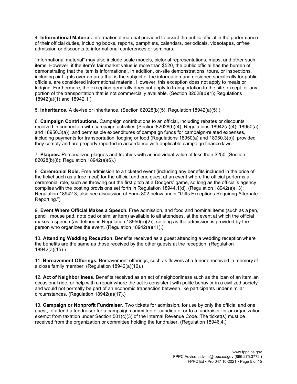4. **Informational Material.** Informational material provided to assist the public official in the performance of their official duties, including books, reports, pamphlets, calendars, periodicals, videotapes, orfree admission or discounts to informational conferences or seminars.

"Informational material" may also include scale models, pictorial representations, maps, and other such items. However, if the item's fair market value is more than \$520, the public official has the burden of demonstrating that the item is informational. In addition, on-site demonstrations, tours, or inspections, including air flights over an area that is the subject of the information and designed specifically for public officials, are considered informational material. However, this exception does not apply to meals or lodging. Furthermore, the exception generally does not apply to transportation to the site, except for any portion of the transportation that is not commercially available. (Section 82028(b)(1); Regulations 18942(a)(1) and 18942.1.)

5. **Inheritance.** A devise or inheritance. (Section 82028(b)(5); Regulation 18942(a)(5).)

6. **Campaign Contributions.** Campaign contributions to an official, including rebates or discounts received in connection with campaign activities (Section 82028(b)(4); Regulations 18942(a)(4), 18950(a) and 18950.3(a)), and permissible expenditures of campaign funds for campaign-related expenses, including payments for transportation, lodging or food (Regulations 18950(a) and 18950.3(b)), provided they comply and are properly reported in accordance with applicable campaign finance laws.

7. **Plaques.** Personalized plaques and trophies with an individual value of less than \$250.(Section 82028(b)(6); Regulation 18942(a)(6).)

8. **Ceremonial Role.** Free admission to a ticketed event (including any benefits included in the price of the ticket such as a free meal) for the official and one guest at an event where the official performs a ceremonial role, such as throwing out the first pitch at a Dodgers' game, so long as the official's agency complies with the posting provisions set forth in Regulation 18944.1(d). (Regulation 18942(a)(13); Regulation 18942.3; also see discussion of Form 802 below under "Gifts Exceptions Requiring Alternate Reporting.")

9. **Event Where Official Makes a Speech.** Free admission, and food and nominal items (such as a pen, pencil, mouse pad, note pad or similar item) available to all attendees, at the event at which the official makes a speech (as defined in Regulation 18950(b)(2)), so long as the admission is provided by the person who organizes the event. (Regulation 18942(a)(11).)

10. **Attending Wedding Reception.** Benefits received as a guest attending a wedding receptionwhere the benefits are the same as those received by the other guests at the reception. (Regulation 18942(a)(15).)

11. **Bereavement Offerings.** Bereavement offerings, such as flowers at a funeral received in memory of a close family member. (Regulation 18942(a)(16).)

12. **Act of Neighborliness.** Benefits received as an act of neighborliness such as the loan of an item,an occasional ride, or help with a repair where the act is consistent with polite behavior in a civilized society and would not normally be part of an economic transaction between like participants under similar circumstances. (Regulation 18942(a)(17).)

13. **Campaign or Nonprofit Fundraiser.** Two tickets for admission, for use by only the official and one guest, to attend a fundraiser for a campaign committee or candidate, or to a fundraiser for anorganization exempt from taxation under Section 501(c)(3) of the Internal Revenue Code. The ticket(s) must be received from the organization or committee holding the fundraiser. (Regulation 18946.4.)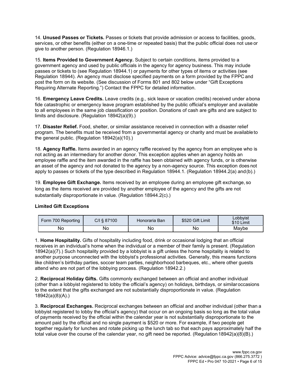14. **Unused Passes or Tickets.** Passes or tickets that provide admission or access to facilities, goods, services, or other benefits (either on a one-time or repeated basis) that the public official does not use or give to another person. (Regulation 18946.1.)

15. **Items Provided to Government Agency.** Subject to certain conditions, items provided to a government agency and used by public officials in the agency for agency business. This may include passes or tickets to (see Regulation 18944.1) or payments for other types of items or activities (see Regulation 18944). An agency must disclose specified payments on a form provided by the FPPC and post the form on its website. (See discussion of Forms 801 and 802 below under "Gift Exceptions Requiring Alternate Reporting.") Contact the FPPC for detailed information.

16. **Emergency Leave Credits.** Leave credits (e.g., sick leave or vacation credits) received under abona fide catastrophic or emergency leave program established by the public official's employer and available to all employees in the same job classification or position. Donations of cash are gifts and are subject to limits and disclosure. (Regulation 18942(a)(9).)

17. **Disaster Relief.** Food, shelter, or similar assistance received in connection with a disaster relief program. The benefits must be received from a governmental agency or charity and must be availableto the general public. (Regulation 18942(a)(10).)

18. **Agency Raffle.** Items awarded in an agency raffle received by the agency from an employee who is not acting as an intermediary for another donor. This exception applies when an agency holds an employee raffle and the item awarded in the raffle has been obtained with agency funds, or is otherwise an asset of the agency and not donated to the agency by a non-agency source. This exception does not apply to passes or tickets of the type described in Regulation 18944.1. (Regulation 18944.2(a) and(b).)

19. **Employee Gift Exchange.** Items received by an employee during an employee gift exchange, so long as the items received are provided by another employee of the agency and the gifts are not substantially disproportionate in value. (Regulation 18944.2(c).)

## **Limited Gift Exceptions**

| Form 700 Reporting | C/I § 87100 | Honoraria Ban | \$520 Gift Limit | Lobbvist<br>\$10 Limit |
|--------------------|-------------|---------------|------------------|------------------------|
| No                 | No          | No            | No               | Maybe                  |

1. **Home Hospitality.** Gifts of hospitality including food, drink or occasional lodging that an official receives in an individual's home when the individual or a member of their family is present. (Regulation 18942(a)(7).) Such hospitality provided by a lobbyist is a gift unless the home hospitality is related to another purpose unconnected with the lobbyist's professional activities. Generally, this means functions like children's birthday parties, soccer team parties, neighborhood barbeques, etc., where other guests attend who are not part of the lobbying process. (Regulation 18942.2.)

2. **Reciprocal Holiday Gifts.** Gifts commonly exchanged between an official and another individual (other than a lobbyist registered to lobby the official's agency) on holidays, birthdays, or similaroccasions to the extent that the gifts exchanged are not substantially disproportionate in value. (Regulation 18942(a)(8)(A).)

3. **Reciprocal Exchanges.** Reciprocal exchanges between an official and another individual (other than a lobbyist registered to lobby the official's agency) that occur on an ongoing basis so long as the total value of payments received by the official within the calendar year is not substantially disproportionate to the amount paid by the official and no single payment is \$520 or more. For example, if two people get together regularly for lunches and rotate picking up the lunch tab so that each pays approximately half the total value over the course of the calendar year, no gift need be reported. (Regulation 18942(a)(8)(B).)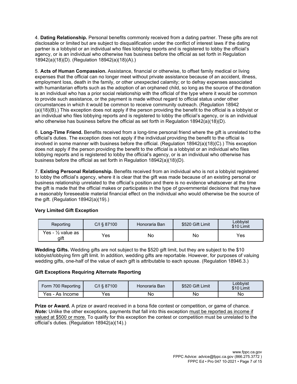4. **Dating Relationship.** Personal benefits commonly received from a dating partner. These gifts are not disclosable or limited but are subject to disqualification under the conflict of interest laws if the dating partner is a lobbyist or an individual who files lobbying reports and is registered to lobby the official's agency, or is an individual who otherwise has business before the official as set forth in Regulation 18942(a)(18)(D). (Regulation 18942(a)(18)(A).)

5. **Acts of Human Compassion.** Assistance, financial or otherwise, to offset family medical or living expenses that the official can no longer meet without private assistance because of an accident, illness, employment loss, death in the family, or other unexpected calamity; or to defray expenses associated with humanitarian efforts such as the adoption of an orphaned child, so long as the source of the donation is an individual who has a prior social relationship with the official of the type where it would be common to provide such assistance, or the payment is made without regard to official status under other circumstances in which it would be common to receive community outreach. (Regulation 18942 (a)(18)(B).) This exception does not apply if the person providing the benefit to the official is a lobbyist or an individual who files lobbying reports and is registered to lobby the official's agency, or is an individual who otherwise has business before the official as set forth in Regulation 18942(a)(18)(D).

6. **Long-Time Friend.** Benefits received from a long-time personal friend where the gift is unrelated tothe official's duties. The exception does not apply if the individual providing the benefit to the official is involved in some manner with business before the official. (Regulation 18942(a)(18)(C).) This exception does not apply if the person providing the benefit to the official is a lobbyist or an individual who files lobbying reports and is registered to lobby the official's agency, or is an individual who otherwise has business before the official as set forth in Regulation 18942(a)(18)(D).

7. **Existing Personal Relationship.** Benefits received from an individual who is not a lobbyist registered to lobby the official's agency, where it is clear that the gift was made because of an existing personal or business relationship unrelated to the official's position and there is no evidence whatsoever at the time the gift is made that the official makes or participates in the type of governmental decisions that may have a reasonably foreseeable material financial effect on the individual who would otherwise be the source of the gift. (Regulation 18942(a)(19).)

| Reporting                            | $C/I$ § 87100 | ⊟onoraria Ban | \$520 Gift Limit | Lobbyist<br>\$10 Limit |
|--------------------------------------|---------------|---------------|------------------|------------------------|
| Yes - $\frac{1}{2}$ value as<br>gift | Yes           | No            | No               | Yes                    |

# **Very Limited Gift Exception**

**Wedding Gifts.** Wedding gifts are not subject to the \$520 gift limit, but they are subject to the \$10 lobbyist/lobbying firm gift limit. In addition, wedding gifts are reportable. However, for purposes of valuing wedding gifts, one-half of the value of each gift is attributable to each spouse. (Regulation 18946.3.)

# **Gift Exceptions Requiring Alternate Reporting**

| Form 700 Reporting               | C/I § 87100 | Honoraria Ban∃ | \$520 Gift Limit | Lobbvist<br>\$10 Limit |
|----------------------------------|-------------|----------------|------------------|------------------------|
| $V_{\text{ES} - r}$<br>As Income | Yes         | Νo             | Νo               | No                     |

**Prize or Award.** A prize or award received in a bona fide contest or competition, or game of chance. *Note:* Unlike the other exceptions, payments that fall into this exception must be reported as income if valued at \$500 or more. To qualify for this exception the contest or competition must be unrelated to the official's duties. (Regulation 18942(a)(14).)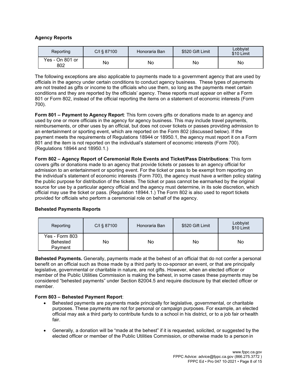## **Agency Reports**

| Reporting              | C/I § 87100 | Honoraria Ban | \$520 Gift Limit | Lobbyist<br>\$10 Limit |
|------------------------|-------------|---------------|------------------|------------------------|
| Yes - On 801 or<br>802 | No          | No            | No               | No                     |

The following exceptions are also applicable to payments made to a government agency that are used by officials in the agency under certain conditions to conduct agency business. These types of payments are not treated as gifts or income to the officials who use them, so long as the payments meet certain conditions and they are reported by the officials' agency. These reports must appear on either a Form 801 or Form 802, instead of the official reporting the items on a statement of economic interests (Form 700).

**Form 801 – Payment to Agency Report**: This form covers gifts or donations made to an agency and used by one or more officials in the agency for agency business. This may include travel payments, reimbursements, or other uses by an official, but does not cover tickets or passes providing admission to an entertainment or sporting event, which are reported on the Form 802 (discussed below). If the payment meets the requirements of Regulations 18944 or 18950.1, the agency must report it on a Form 801 and the item is not reported on the individual's statement of economic interests (Form 700). (Regulations 18944 and 18950.1.)

**Form 802 – Agency Report of Ceremonial Role Events and Ticket/Pass Distributions**: This form covers gifts or donations made to an agency that provide tickets or passes to an agency official for admission to an entertainment or sporting event. For the ticket or pass to be exempt from reporting on the individual's statement of economic interests (Form 700), the agency must have a written policy stating the public purpose for distribution of the tickets. The ticket or pass cannot be earmarked by the original source for use by a particular agency official and the agency must determine, in its sole discretion, which official may use the ticket or pass. (Regulation 18944.1.) The Form 802 is also used to report tickets provided for officials who perform a ceremonial role on behalf of the agency.

| Reporting                             | $C/I$ § 87100 | Honoraria Ban | \$520 Gift Limit | Lobbyist<br>\$10 Limit |
|---------------------------------------|---------------|---------------|------------------|------------------------|
| Yes - Form 803<br>Behested<br>Payment | No            | No            | No               | No                     |

# **Behested Payments Reports**

**Behested Payments.** Generally, payments made at the behest of an official that do not confer a personal benefit on an official such as those made by a third party to co-sponsor an event, or that are principally legislative, governmental or charitable in nature, are not gifts. However, when an elected officer or member of the Public Utilities Commission is making the behest, in some cases these payments may be considered "behested payments" under Section 82004.5 and require disclosure by that elected officer or member.

## **Form 803 – Behested Payment Report**:

- Behested payments are payments made principally for legislative, governmental, or charitable purposes. These payments are not for personal or campaign purposes. For example, an elected official may ask a third party to contribute funds to a school in his district, or to a job fair orhealth fair.
- Generally, a donation will be "made at the behest" if it is requested, solicited, or suggested by the elected officer or member of the Public Utilities Commission, or otherwise made to a person in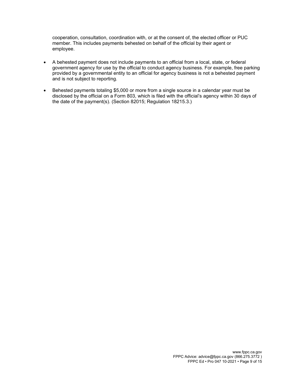cooperation, consultation, coordination with, or at the consent of, the elected officer or PUC member. This includes payments behested on behalf of the official by their agent or employee.

- A behested payment does not include payments to an official from a local, state, or federal government agency for use by the official to conduct agency business. For example, free parking provided by a governmental entity to an official for agency business is not a behested payment and is not subject to reporting.
- Behested payments totaling \$5,000 or more from a single source in a calendar year must be disclosed by the official on a Form 803, which is filed with the official's agency within 30 days of the date of the payment(s). (Section 82015; Regulation 18215.3.)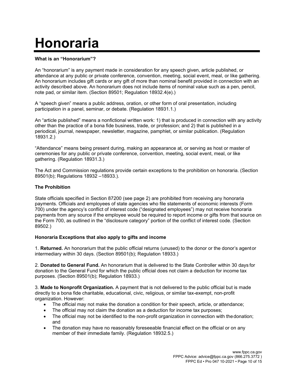# **Honoraria**

## **What is an "Honorarium"?**

An "honorarium" is any payment made in consideration for any speech given, article published, or attendance at any public or private conference, convention, meeting, social event, meal, or like gathering. An honorarium includes gift cards or any gift of more than nominal benefit provided in connection with an activity described above. An honorarium does not include items of nominal value such as a pen, pencil, note pad, or similar item. (Section 89501; Regulation 18932.4(e).)

A "speech given" means a public address, oration, or other form of oral presentation, including participation in a panel, seminar, or debate. (Regulation 18931.1.)

An "article published" means a nonfictional written work: 1) that is produced in connection with any activity other than the practice of a bona fide business, trade, or profession; and 2) that is published in a periodical, journal, newspaper, newsletter, magazine, pamphlet, or similar publication. (Regulation 18931.2.)

"Attendance" means being present during, making an appearance at, or serving as host or master of ceremonies for any public or private conference, convention, meeting, social event, meal, or like gathering. (Regulation 18931.3.)

The Act and Commission regulations provide certain exceptions to the prohibition on honoraria. (Section 89501(b); Regulations 18932 –18933.).

# **The Prohibition**

State officials specified in Section 87200 (see page 2) are prohibited from receiving any honoraria payments. Officials and employees of state agencies who file statements of economic interests (Form 700) under the agency's conflict of interest code ("designated employees") may not receive honoraria payments from any source if the employee would be required to report income or gifts from that source on the Form 700, as outlined in the "disclosure category" portion of the conflict of interest code. (Section 89502.)

# **Honoraria Exceptions that also apply to gifts and income**

1. **Returned.** An honorarium that the public official returns (unused) to the donor or the donor's agentor intermediary within 30 days. (Section 89501(b); Regulation 18933.)

2. **Donated to General Fund.** An honorarium that is delivered to the State Controller within 30 days for donation to the General Fund for which the public official does not claim a deduction for income tax purposes. (Section 89501(b); Regulation 18933.)

3. **Made to Nonprofit Organization.** A payment that is not delivered to the public official but is made directly to a bona fide charitable, educational, civic, religious, or similar tax-exempt, non-profit organization. However:

- The official may not make the donation a condition for their speech, article, or attendance;
- The official may not claim the donation as a deduction for income tax purposes;
- The official may not be identified to the non-profit organization in connection with the donation; and
- The donation may have no reasonably foreseeable financial effect on the official or on any member of their immediate family. (Regulation 18932.5.)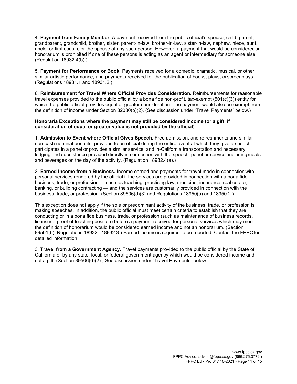4. **Payment from Family Member.** A payment received from the public official's spouse, child, parent, grandparent, grandchild, brother, sister, parent-in-law, brother-in-law, sister-in-law, nephew, niece, aunt, uncle, or first cousin, or the spouse of any such person. However, a payment that would be consideredan honorarium is prohibited if one of these persons is acting as an agent or intermediary for someone else. (Regulation 18932.4(b).)

5. **Payment for Performance or Book.** Payments received for a comedic, dramatic, musical, or other similar artistic performance, and payments received for the publication of books, plays, orscreenplays. (Regulations 18931.1 and 18931.2.)

6. **Reimbursement for Travel Where Official Provides Consideration.** Reimbursements for reasonable travel expenses provided to the public official by a bona fide non-profit, tax-exempt (501(c)(3)) entity for which the public official provides equal or greater consideration. The payment would also be exempt from the definition of income under Section 82030(b)(2). (See discussion under "Travel Payments" below.)

#### **Honoraria Exceptions where the payment may still be considered income (or a gift, if consideration of equal or greater value is not provided by the official)**

1. **Admission to Event where Official Gives Speech.** Free admission, and refreshments and similar non-cash nominal benefits, provided to an official during the entire event at which they give a speech, participates in a panel or provides a similar service, and in-California transportation and necessary lodging and subsistence provided directly in connection with the speech, panel or service, includingmeals and beverages on the day of the activity. (Regulation 18932.4(e).)

2. **Earned Income from a Business.** Income earned and payments for travel made in connection with personal services rendered by the official if the services are provided in connection with a bona fide business, trade, or profession — such as teaching, practicing law, medicine, insurance, real estate, banking, or building contracting — and the services are customarily provided in connection with the business, trade, or profession. (Section 89506(d)(3) and Regulations 18950(a) and 18950.2.)

This exception does not apply if the sole or predominant activity of the business, trade, or profession is making speeches. In addition, the public official must meet certain criteria to establish that they are conducting or in a bona fide business, trade, or profession (such as maintenance of business records, licensure, proof of teaching position) before a payment received for personal services which may meet the definition of honorarium would be considered earned income and not an honorarium. (Section 89501(b); Regulations 18932 –18932.3.) Earned income is required to be reported. Contact the FPPC for detailed information.

3. **Travel from a Government Agency.** Travel payments provided to the public official by the State of California or by any state, local, or federal government agency which would be considered income and not a gift. (Section 89506(d)(2).) See discussion under "Travel Payments" below.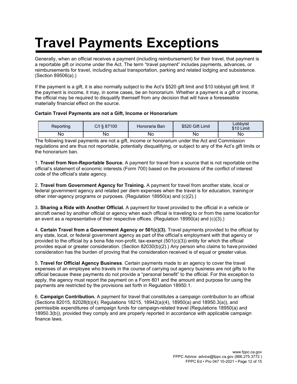# **Travel Payments Exceptions**

Generally, when an official receives a payment (including reimbursement) for their travel, that payment is a reportable gift or income under the Act. The term "travel payment" includes payments, advances, or reimbursements for travel, including actual transportation, parking and related lodging and subsistence. (Section 89506(a).)

If the payment is a gift, it is also normally subject to the Act's \$520 gift limit and \$10 lobbyist gift limit. If the payment is income, it may, in some cases, be an honorarium. Whether a payment is a gift or income, the official may be required to disqualify themself from any decision that will have a foreseeable materially financial effect on the source.

## **Certain Travel Payments are not a Gift, Income or Honorarium**

| Reportina | C/I § 87100 | Honoraria Ban | \$520 Gift Limit | Lobbvist<br>\$10 Limit |
|-----------|-------------|---------------|------------------|------------------------|
| Nο        | Nο          | No            | Νo               | No.                    |

The following travel payments are not a gift, income or honorarium under the Act and Commission regulations and are thus not reportable, potentially disqualifying, or subject to any of the Act's gift limits or the honorarium ban.

1. **Travel from Non-Reportable Source.** A payment for travel from a source that is not reportable on the official's statement of economic interests (Form 700) based on the provisions of the conflict of interest code of the official's state agency.

2. **Travel from Government Agency for Training.** A payment for travel from another state, local or federal government agency and related per diem expenses when the travel is for education, training or other inter-agency programs or purposes. (Regulation 18950(a) and (c)(2).)

3. **Sharing a Ride with Another Official.** A payment for travel provided to the official in a vehicle or aircraft owned by another official or agency when each official is traveling to or from the same locationfor an event as a representative of their respective offices. (Regulation 18950(a) and (c)(3).)

4. **Certain Travel from a Government Agency or 501(c)(3).** Travel payments provided to the official by any state, local, or federal government agency as part of the official's employment with that agency or provided to the official by a bona fide non-profit, tax-exempt  $(501(c)(3))$  entity for which the official provides equal or greater consideration. (Section 82030(b)(2).) Any person who claims to have provided consideration has the burden of proving that the consideration received is of equal or greater value.

5. **Travel for Official Agency Business**. Certain payments made to an agency to cover the travel expenses of an employee who travels in the course of carrying out agency business are not gifts to the official because these payments do not provide a "personal benefit" to the official. For this exception to apply, the agency must report the payment on a Form 801 and the amount and purpose for using the payments are restricted by the provisions set forth in Regulation 18950.1.

6. **Campaign Contribution.** A payment for travel that constitutes a campaign contribution to an official (Sections 82015, 82028(b)(4); Regulations 18215, 18942(a)(4), 18950(a) and 18950.3(a)), and permissible expenditures of campaign funds for campaign-related travel (Regulations 18950(a) and 18950.3(b)), provided they comply and are properly reported in accordance with applicable campaign finance laws.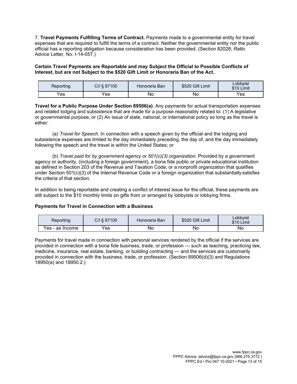7. **Travel Payments Fulfilling Terms of Contract.** Payments made to a governmental entity for travel expenses that are required to fulfill the terms of a contract. Neither the governmental entity nor the public official has a reporting obligation because consideration has been provided. (Section 82028; *Ratto*  Advice Letter, No. I-14-057.)

**Certain Travel Payments are Reportable and may Subject the Official to Possible Conflicts of Interest, but are not Subject to the \$520 Gift Limit or Honoraria Ban of the Act.**

| Reporting | C/I § 87100 | Honoraria Ban | \$520 Gift Limit | Lobbvist<br>\$10 Limit |
|-----------|-------------|---------------|------------------|------------------------|
| Yes       | Yes         | Νo            | Nο               | 'es                    |

**Travel for a Public Purpose Under Section 89506(a).** Any payments for actual transportation expenses and related lodging and subsistence that are made for a purpose reasonably related to: (1) A legislative or governmental purpose, or (2) An issue of state, national, or international policy so long as the travel is either:

(a) *Travel for Speech.* In connection with a speech given by the official and the lodging and subsistence expenses are limited to the day immediately preceding, the day of, and the day immediately following the speech and the travel is within the United States; or

(b) *Travel paid for by government agency or 501(c)(3) organization.* Provided by a government agency or authority, (including a foreign government), a bona fide public or private educational institution as defined in Section 203 of the Revenue and Taxation Code, or a nonprofit organization that qualifies under Section 501(c)(3) of the Internal Revenue Code or a foreign organization that substantially satisfies the criteria of that section.

In addition to being reportable and creating a conflict of interest issue for the official, these payments are still subject to the \$10 monthly limits on gifts from or arranged by lobbyists or lobbying firms.

#### **Payments for Travel in Connection with a Business**

| Reporting       | C/I § 87100 | Honoraria Ban | \$520 Gift Limit | Lobbvist<br>\$10 L<br>Limit |
|-----------------|-------------|---------------|------------------|-----------------------------|
| Yes - as Income | Yes         | No            | No               | No                          |

Payments for travel made in connection with personal services rendered by the official if the services are provided in connection with a bona fide business, trade, or profession — such as teaching, practicing law, medicine, insurance, real estate, banking, or building contracting — and the services are customarily provided in connection with the business, trade, or profession. (Section 89506(d)(3) and Regulations 18950(a) and 18950.2.)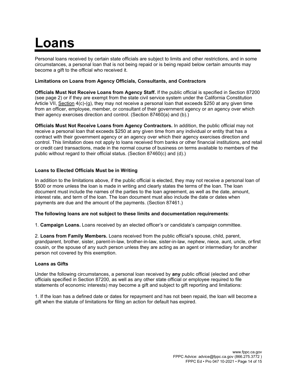# **Loans**

Personal loans received by certain state officials are subject to limits and other restrictions, and in some circumstances, a personal loan that is not being repaid or is being repaid below certain amounts may become a gift to the official who received it.

## **Limitations on Loans from Agency Officials, Consultants, and Contractors**

**Officials Must Not Receive Loans from Agency Staff.** If the public official is specified in Section 87200 (see page 2) or if they are exempt from the state civil service system under the California Constitution Article VII, Section 4(c)-(g), they may not receive a personal loan that exceeds \$250 at any given time from an officer, employee, member, or consultant of their government agency or an agency over which their agency exercises direction and control. (Section 87460(a) and (b).)

**Officials Must Not Receive Loans from Agency Contractors.** In addition, the public official may not receive a personal loan that exceeds \$250 at any given time from any individual or entity that has a contract with their government agency or an agency over which their agency exercises direction and control. This limitation does not apply to loans received from banks or other financial institutions, and retail or credit card transactions, made in the normal course of business on terms available to members of the public without regard to their official status. (Section 87460(c) and (d).)

#### **Loans to Elected Officials Must be in Writing**

In addition to the limitations above, if the public official is elected, they may not receive a personal loan of \$500 or more unless the loan is made in writing and clearly states the terms of the loan. The loan document must include the names of the parties to the loan agreement, as well as the date, amount, interest rate, and term of the loan. The loan document must also include the date or dates when payments are due and the amount of the payments. (Section 87461.)

#### **The following loans are not subject to these limits and documentation requirements**:

1. **Campaign Loans.** Loans received by an elected officer's or candidate's campaign committee.

2. **Loans from Family Members.** Loans received from the public official's spouse, child, parent, grandparent, brother, sister, parent-in-law, brother-in-law, sister-in-law, nephew, niece, aunt, uncle, orfirst cousin, or the spouse of any such person unless they are acting as an agent or intermediary for another person not covered by this exemption.

#### **Loans as Gifts**

Under the following circumstances, a personal loan received by **any** public official (elected and other officials specified in Section 87200, as well as any other state official or employee required to file statements of economic interests) may become a gift and subject to gift reporting and limitations:

1. If the loan has a defined date or dates for repayment and has not been repaid, the loan will become a gift when the statute of limitations for filing an action for default has expired.